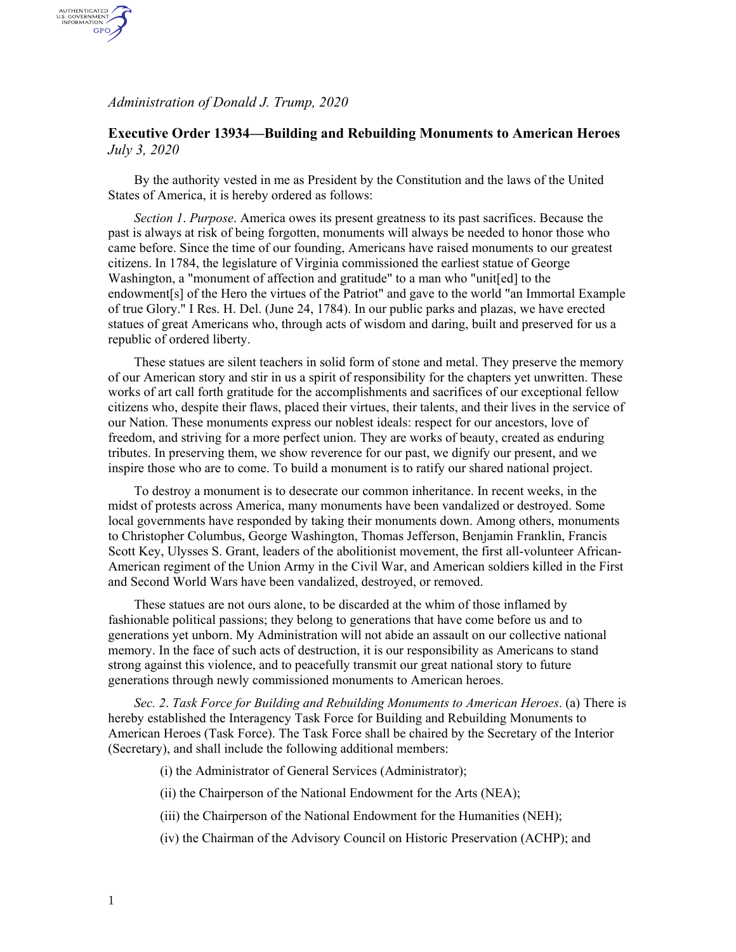*Administration of Donald J. Trump, 2020*

AUTHENTICATED<br>U.S. GOVERNMENT<br>INFORMATION **GPO** 

## **Executive Order 13934—Building and Rebuilding Monuments to American Heroes** *July 3, 2020*

By the authority vested in me as President by the Constitution and the laws of the United States of America, it is hereby ordered as follows:

*Section 1*. *Purpose*. America owes its present greatness to its past sacrifices. Because the past is always at risk of being forgotten, monuments will always be needed to honor those who came before. Since the time of our founding, Americans have raised monuments to our greatest citizens. In 1784, the legislature of Virginia commissioned the earliest statue of George Washington, a "monument of affection and gratitude" to a man who "unit[ed] to the endowment[s] of the Hero the virtues of the Patriot" and gave to the world "an Immortal Example of true Glory." I Res. H. Del. (June 24, 1784). In our public parks and plazas, we have erected statues of great Americans who, through acts of wisdom and daring, built and preserved for us a republic of ordered liberty.

These statues are silent teachers in solid form of stone and metal. They preserve the memory of our American story and stir in us a spirit of responsibility for the chapters yet unwritten. These works of art call forth gratitude for the accomplishments and sacrifices of our exceptional fellow citizens who, despite their flaws, placed their virtues, their talents, and their lives in the service of our Nation. These monuments express our noblest ideals: respect for our ancestors, love of freedom, and striving for a more perfect union. They are works of beauty, created as enduring tributes. In preserving them, we show reverence for our past, we dignify our present, and we inspire those who are to come. To build a monument is to ratify our shared national project.

To destroy a monument is to desecrate our common inheritance. In recent weeks, in the midst of protests across America, many monuments have been vandalized or destroyed. Some local governments have responded by taking their monuments down. Among others, monuments to Christopher Columbus, George Washington, Thomas Jefferson, Benjamin Franklin, Francis Scott Key, Ulysses S. Grant, leaders of the abolitionist movement, the first all-volunteer African-American regiment of the Union Army in the Civil War, and American soldiers killed in the First and Second World Wars have been vandalized, destroyed, or removed.

These statues are not ours alone, to be discarded at the whim of those inflamed by fashionable political passions; they belong to generations that have come before us and to generations yet unborn. My Administration will not abide an assault on our collective national memory. In the face of such acts of destruction, it is our responsibility as Americans to stand strong against this violence, and to peacefully transmit our great national story to future generations through newly commissioned monuments to American heroes.

*Sec. 2*. *Task Force for Building and Rebuilding Monuments to American Heroes*. (a) There is hereby established the Interagency Task Force for Building and Rebuilding Monuments to American Heroes (Task Force). The Task Force shall be chaired by the Secretary of the Interior (Secretary), and shall include the following additional members:

(i) the Administrator of General Services (Administrator);

(ii) the Chairperson of the National Endowment for the Arts (NEA);

(iii) the Chairperson of the National Endowment for the Humanities (NEH);

(iv) the Chairman of the Advisory Council on Historic Preservation (ACHP); and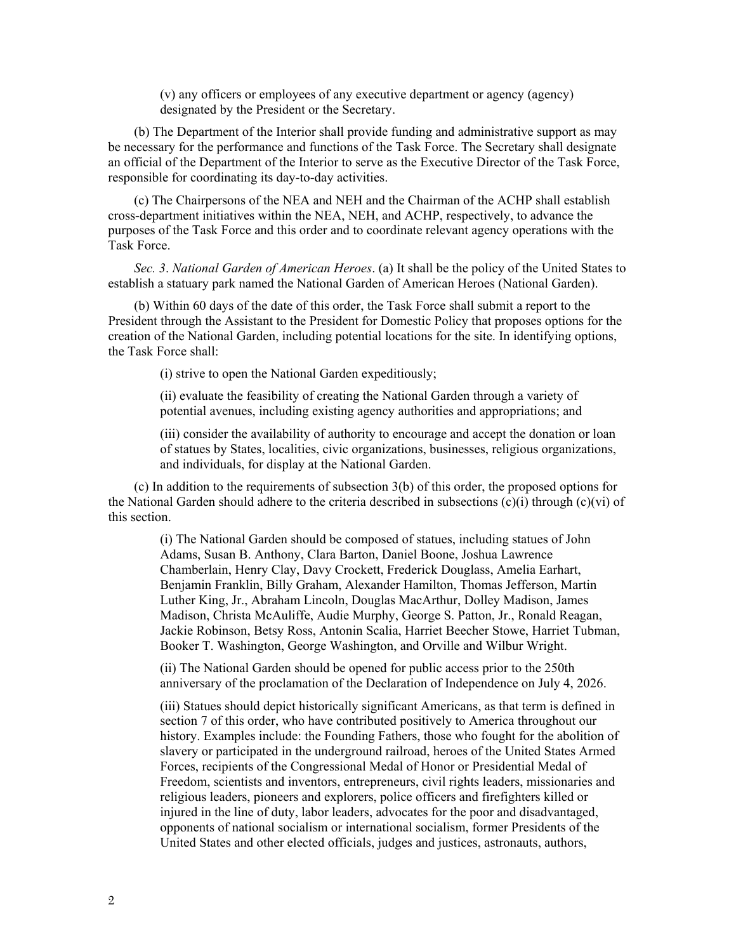(v) any officers or employees of any executive department or agency (agency) designated by the President or the Secretary.

(b) The Department of the Interior shall provide funding and administrative support as may be necessary for the performance and functions of the Task Force. The Secretary shall designate an official of the Department of the Interior to serve as the Executive Director of the Task Force, responsible for coordinating its day-to-day activities.

(c) The Chairpersons of the NEA and NEH and the Chairman of the ACHP shall establish cross-department initiatives within the NEA, NEH, and ACHP, respectively, to advance the purposes of the Task Force and this order and to coordinate relevant agency operations with the Task Force.

*Sec. 3*. *National Garden of American Heroes*. (a) It shall be the policy of the United States to establish a statuary park named the National Garden of American Heroes (National Garden).

(b) Within 60 days of the date of this order, the Task Force shall submit a report to the President through the Assistant to the President for Domestic Policy that proposes options for the creation of the National Garden, including potential locations for the site. In identifying options, the Task Force shall:

(i) strive to open the National Garden expeditiously;

(ii) evaluate the feasibility of creating the National Garden through a variety of potential avenues, including existing agency authorities and appropriations; and

(iii) consider the availability of authority to encourage and accept the donation or loan of statues by States, localities, civic organizations, businesses, religious organizations, and individuals, for display at the National Garden.

(c) In addition to the requirements of subsection 3(b) of this order, the proposed options for the National Garden should adhere to the criteria described in subsections  $(c)(i)$  through  $(c)(vi)$  of this section.

(i) The National Garden should be composed of statues, including statues of John Adams, Susan B. Anthony, Clara Barton, Daniel Boone, Joshua Lawrence Chamberlain, Henry Clay, Davy Crockett, Frederick Douglass, Amelia Earhart, Benjamin Franklin, Billy Graham, Alexander Hamilton, Thomas Jefferson, Martin Luther King, Jr., Abraham Lincoln, Douglas MacArthur, Dolley Madison, James Madison, Christa McAuliffe, Audie Murphy, George S. Patton, Jr., Ronald Reagan, Jackie Robinson, Betsy Ross, Antonin Scalia, Harriet Beecher Stowe, Harriet Tubman, Booker T. Washington, George Washington, and Orville and Wilbur Wright.

(ii) The National Garden should be opened for public access prior to the 250th anniversary of the proclamation of the Declaration of Independence on July 4, 2026.

(iii) Statues should depict historically significant Americans, as that term is defined in section 7 of this order, who have contributed positively to America throughout our history. Examples include: the Founding Fathers, those who fought for the abolition of slavery or participated in the underground railroad, heroes of the United States Armed Forces, recipients of the Congressional Medal of Honor or Presidential Medal of Freedom, scientists and inventors, entrepreneurs, civil rights leaders, missionaries and religious leaders, pioneers and explorers, police officers and firefighters killed or injured in the line of duty, labor leaders, advocates for the poor and disadvantaged, opponents of national socialism or international socialism, former Presidents of the United States and other elected officials, judges and justices, astronauts, authors,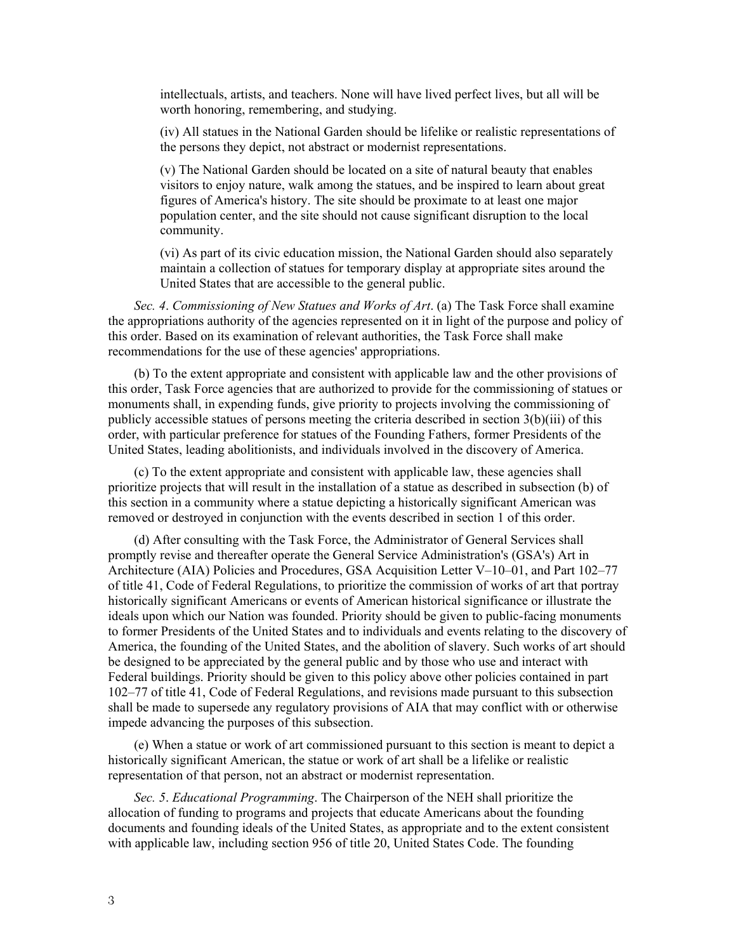intellectuals, artists, and teachers. None will have lived perfect lives, but all will be worth honoring, remembering, and studying.

(iv) All statues in the National Garden should be lifelike or realistic representations of the persons they depict, not abstract or modernist representations.

(v) The National Garden should be located on a site of natural beauty that enables visitors to enjoy nature, walk among the statues, and be inspired to learn about great figures of America's history. The site should be proximate to at least one major population center, and the site should not cause significant disruption to the local community.

(vi) As part of its civic education mission, the National Garden should also separately maintain a collection of statues for temporary display at appropriate sites around the United States that are accessible to the general public.

*Sec. 4*. *Commissioning of New Statues and Works of Art*. (a) The Task Force shall examine the appropriations authority of the agencies represented on it in light of the purpose and policy of this order. Based on its examination of relevant authorities, the Task Force shall make recommendations for the use of these agencies' appropriations.

(b) To the extent appropriate and consistent with applicable law and the other provisions of this order, Task Force agencies that are authorized to provide for the commissioning of statues or monuments shall, in expending funds, give priority to projects involving the commissioning of publicly accessible statues of persons meeting the criteria described in section 3(b)(iii) of this order, with particular preference for statues of the Founding Fathers, former Presidents of the United States, leading abolitionists, and individuals involved in the discovery of America.

(c) To the extent appropriate and consistent with applicable law, these agencies shall prioritize projects that will result in the installation of a statue as described in subsection (b) of this section in a community where a statue depicting a historically significant American was removed or destroyed in conjunction with the events described in section 1 of this order.

(d) After consulting with the Task Force, the Administrator of General Services shall promptly revise and thereafter operate the General Service Administration's (GSA's) Art in Architecture (AIA) Policies and Procedures, GSA Acquisition Letter V–10–01, and Part 102–77 of title 41, Code of Federal Regulations, to prioritize the commission of works of art that portray historically significant Americans or events of American historical significance or illustrate the ideals upon which our Nation was founded. Priority should be given to public-facing monuments to former Presidents of the United States and to individuals and events relating to the discovery of America, the founding of the United States, and the abolition of slavery. Such works of art should be designed to be appreciated by the general public and by those who use and interact with Federal buildings. Priority should be given to this policy above other policies contained in part 102–77 of title 41, Code of Federal Regulations, and revisions made pursuant to this subsection shall be made to supersede any regulatory provisions of AIA that may conflict with or otherwise impede advancing the purposes of this subsection.

(e) When a statue or work of art commissioned pursuant to this section is meant to depict a historically significant American, the statue or work of art shall be a lifelike or realistic representation of that person, not an abstract or modernist representation.

*Sec. 5*. *Educational Programming*. The Chairperson of the NEH shall prioritize the allocation of funding to programs and projects that educate Americans about the founding documents and founding ideals of the United States, as appropriate and to the extent consistent with applicable law, including section 956 of title 20, United States Code. The founding